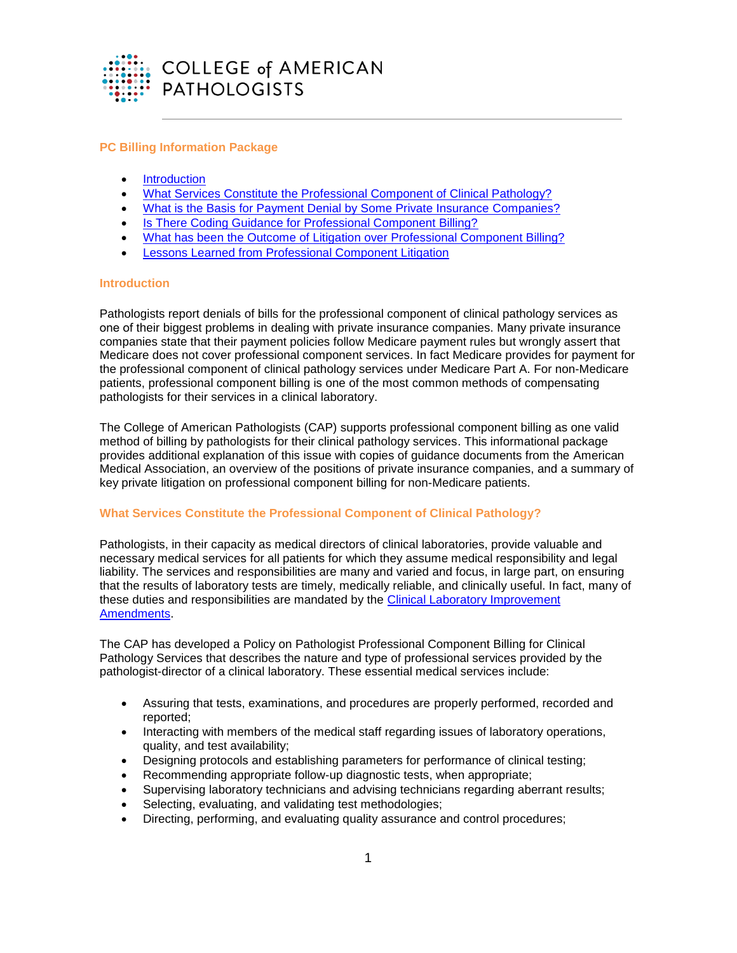

## **PC Billing Information Package**

- **Introduction**
- What Services Constitute the Professional Component of Clinical Pathology?
- [What is the Basis for Payment Denial by Some Private Insurance Companies?](#page-1-0)
- [Is There Coding Guidance for Professional Component Billing?](#page-2-0)
- [What has been the Outcome of Litigation over Professional Component Billing?](#page-4-0)
- [Lessons Learned from Professional Component Litigation](#page-5-0)

#### **Introduction**

Pathologists report denials of bills for the professional component of clinical pathology services as one of their biggest problems in dealing with private insurance companies. Many private insurance companies state that their payment policies follow Medicare payment rules but wrongly assert that Medicare does not cover professional component services. In fact Medicare provides for payment for the professional component of clinical pathology services under Medicare Part A. For non-Medicare patients, professional component billing is one of the most common methods of compensating pathologists for their services in a clinical laboratory.

The College of American Pathologists (CAP) supports professional component billing as one valid method of billing by pathologists for their clinical pathology services. This informational package provides additional explanation of this issue with copies of guidance documents from the American Medical Association, an overview of the positions of private insurance companies, and a summary of key private litigation on professional component billing for non-Medicare patients.

#### **What Services Constitute the Professional Component of Clinical Pathology?**

Pathologists, in their capacity as medical directors of clinical laboratories, provide valuable and necessary medical services for all patients for which they assume medical responsibility and legal liability. The services and responsibilities are many and varied and focus, in large part, on ensuring that the results of laboratory tests are timely, medically reliable, and clinically useful. In fact, many of these duties and responsibilities are mandated by the [Clinical Laboratory Improvement](http://www.cms.hhs.gov/CLIA)  [Amendments.](http://www.cms.hhs.gov/CLIA)

The CAP has developed a Policy on Pathologist Professional Component Billing for Clinical Pathology Services that describes the nature and type of professional services provided by the pathologist-director of a clinical laboratory. These essential medical services include:

- Assuring that tests, examinations, and procedures are properly performed, recorded and reported;
- Interacting with members of the medical staff regarding issues of laboratory operations, quality, and test availability;
- Designing protocols and establishing parameters for performance of clinical testing;
- Recommending appropriate follow-up diagnostic tests, when appropriate;
- Supervising laboratory technicians and advising technicians regarding aberrant results;
- Selecting, evaluating, and validating test methodologies;
- Directing, performing, and evaluating quality assurance and control procedures;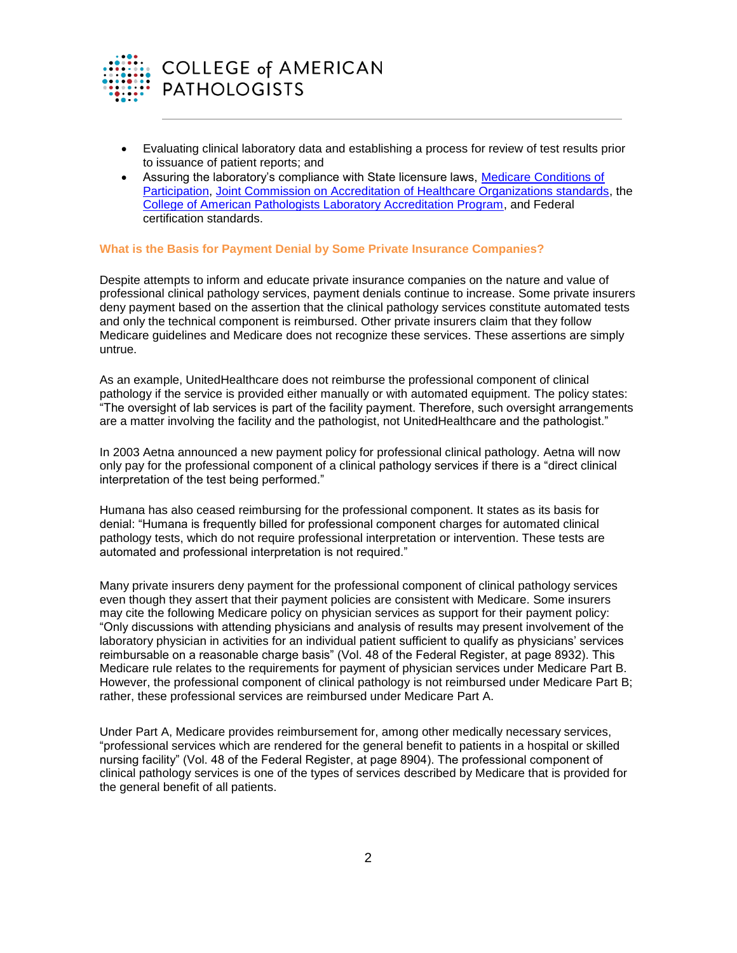<span id="page-1-0"></span>

- Evaluating clinical laboratory data and establishing a process for review of test results prior to issuance of patient reports; and
- Assuring the laboratory's compliance with State licensure laws, [Medicare Conditions of](http://www.cms.gov/Regulations-and-Guidance/Legislation/CFCsAndCoPs/index.html) [Participation,](http://www.cms.gov/Regulations-and-Guidance/Legislation/CFCsAndCoPs/index.html) [Joint Commission on Accreditation of Healthcare Organizations standards,](http://www.jointcommission.org/standards_information/standards.aspx) the [College of American Pathologists Laboratory Accreditation Program,](http://www.cap.org/web/home/lab/accreditation) and Federal certification standards.

### **What is the Basis for Payment Denial by Some Private Insurance Companies?**

Despite attempts to inform and educate private insurance companies on the nature and value of professional clinical pathology services, payment denials continue to increase. Some private insurers deny payment based on the assertion that the clinical pathology services constitute automated tests and only the technical component is reimbursed. Other private insurers claim that they follow Medicare guidelines and Medicare does not recognize these services. These assertions are simply untrue.

As an example, UnitedHealthcare does not reimburse the professional component of clinical pathology if the service is provided either manually or with automated equipment. The policy states: "The oversight of lab services is part of the facility payment. Therefore, such oversight arrangements are a matter involving the facility and the pathologist, not UnitedHealthcare and the pathologist."

In 2003 Aetna announced a new payment policy for professional clinical pathology. Aetna will now only pay for the professional component of a clinical pathology services if there is a "direct clinical interpretation of the test being performed."

Humana has also ceased reimbursing for the professional component. It states as its basis for denial: "Humana is frequently billed for professional component charges for automated clinical pathology tests, which do not require professional interpretation or intervention. These tests are automated and professional interpretation is not required."

Many private insurers deny payment for the professional component of clinical pathology services even though they assert that their payment policies are consistent with Medicare. Some insurers may cite the following Medicare policy on physician services as support for their payment policy: "Only discussions with attending physicians and analysis of results may present involvement of the laboratory physician in activities for an individual patient sufficient to qualify as physicians' services reimbursable on a reasonable charge basis" (Vol. 48 of the Federal Register, at page 8932). This Medicare rule relates to the requirements for payment of physician services under Medicare Part B. However, the professional component of clinical pathology is not reimbursed under Medicare Part B; rather, these professional services are reimbursed under Medicare Part A.

Under Part A, Medicare provides reimbursement for, among other medically necessary services, "professional services which are rendered for the general benefit to patients in a hospital or skilled nursing facility" (Vol. 48 of the Federal Register, at page 8904). The professional component of clinical pathology services is one of the types of services described by Medicare that is provided for the general benefit of all patients.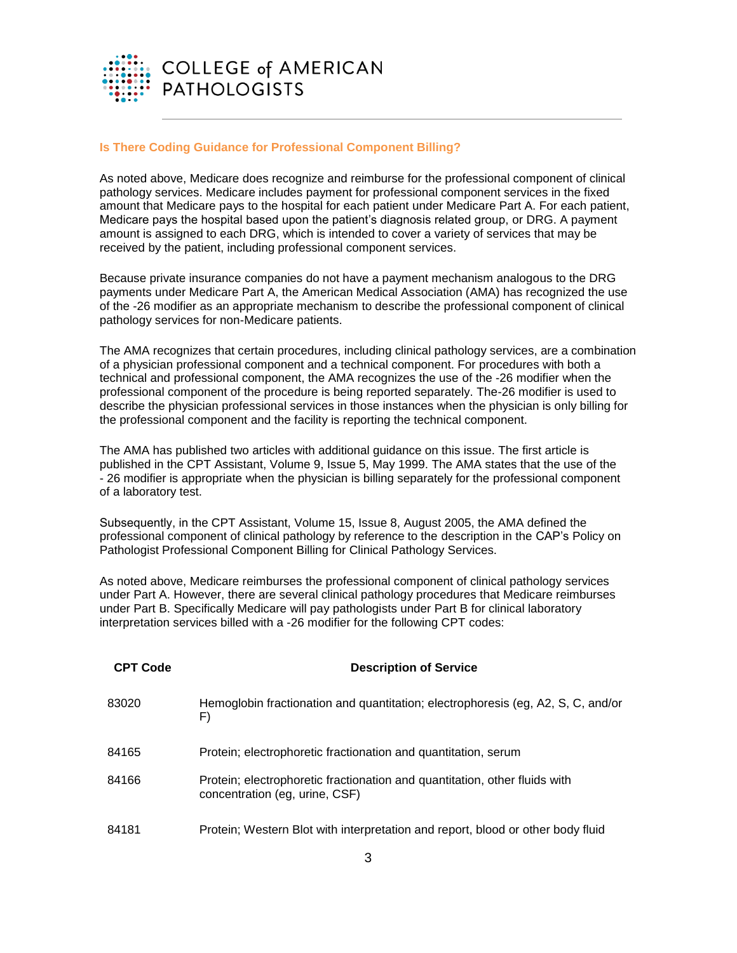<span id="page-2-0"></span>

## **Is There Coding Guidance for Professional Component Billing?**

As noted above, Medicare does recognize and reimburse for the professional component of clinical pathology services. Medicare includes payment for professional component services in the fixed amount that Medicare pays to the hospital for each patient under Medicare Part A. For each patient, Medicare pays the hospital based upon the patient's diagnosis related group, or DRG. A payment amount is assigned to each DRG, which is intended to cover a variety of services that may be received by the patient, including professional component services.

Because private insurance companies do not have a payment mechanism analogous to the DRG payments under Medicare Part A, the American Medical Association (AMA) has recognized the use of the -26 modifier as an appropriate mechanism to describe the professional component of clinical pathology services for non-Medicare patients.

The AMA recognizes that certain procedures, including clinical pathology services, are a combination of a physician professional component and a technical component. For procedures with both a technical and professional component, the AMA recognizes the use of the -26 modifier when the professional component of the procedure is being reported separately. The-26 modifier is used to describe the physician professional services in those instances when the physician is only billing for the professional component and the facility is reporting the technical component.

The AMA has published two articles with additional guidance on this issue. The first article is published in the CPT Assistant, Volume 9, Issue 5, May 1999. The AMA states that the use of the - 26 modifier is appropriate when the physician is billing separately for the professional component of a laboratory test.

Subsequently, in the CPT Assistant, Volume 15, Issue 8, August 2005, the AMA defined the professional component of clinical pathology by reference to the description in the CAP's Policy on Pathologist Professional Component Billing for Clinical Pathology Services.

As noted above, Medicare reimburses the professional component of clinical pathology services under Part A. However, there are several clinical pathology procedures that Medicare reimburses under Part B. Specifically Medicare will pay pathologists under Part B for clinical laboratory interpretation services billed with a -26 modifier for the following CPT codes:

| <b>CPT Code</b> | <b>Description of Service</b>                                                                                |
|-----------------|--------------------------------------------------------------------------------------------------------------|
| 83020           | Hemoglobin fractionation and quantitation; electrophoresis (eg, A2, S, C, and/or<br>F)                       |
| 84165           | Protein; electrophoretic fractionation and quantitation, serum                                               |
| 84166           | Protein; electrophoretic fractionation and quantitation, other fluids with<br>concentration (eg, urine, CSF) |
| 84181           | Protein; Western Blot with interpretation and report, blood or other body fluid                              |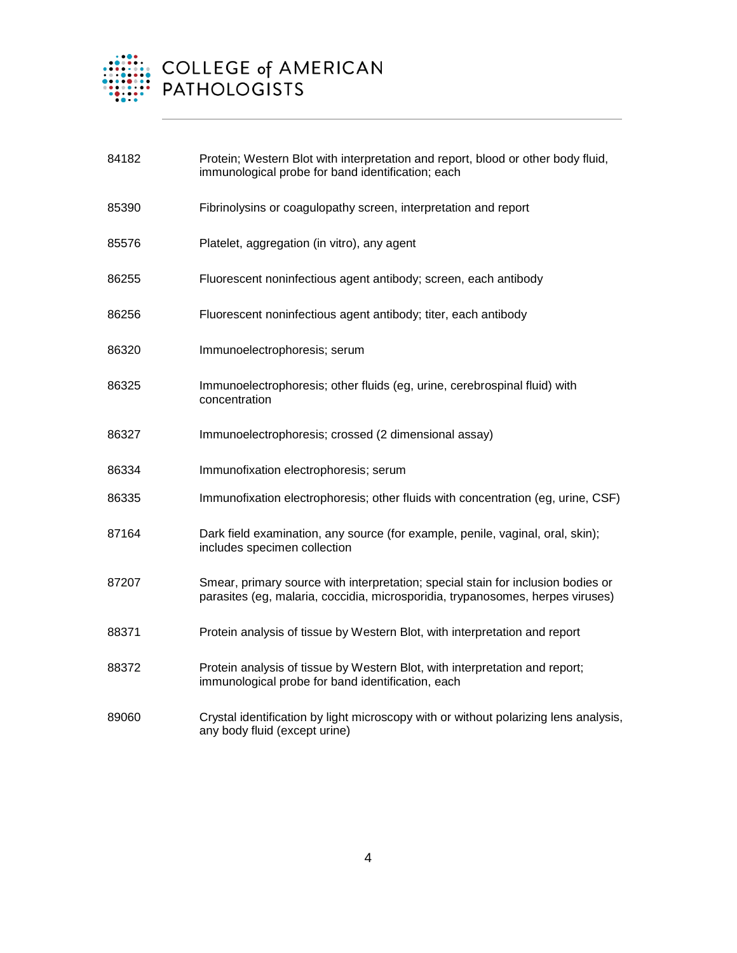

| 84182 | Protein; Western Blot with interpretation and report, blood or other body fluid,<br>immunological probe for band identification; each                              |
|-------|--------------------------------------------------------------------------------------------------------------------------------------------------------------------|
| 85390 | Fibrinolysins or coagulopathy screen, interpretation and report                                                                                                    |
| 85576 | Platelet, aggregation (in vitro), any agent                                                                                                                        |
| 86255 | Fluorescent noninfectious agent antibody; screen, each antibody                                                                                                    |
| 86256 | Fluorescent noninfectious agent antibody; titer, each antibody                                                                                                     |
| 86320 | Immunoelectrophoresis; serum                                                                                                                                       |
| 86325 | Immunoelectrophoresis; other fluids (eg, urine, cerebrospinal fluid) with<br>concentration                                                                         |
| 86327 | Immunoelectrophoresis; crossed (2 dimensional assay)                                                                                                               |
| 86334 | Immunofixation electrophoresis; serum                                                                                                                              |
| 86335 | Immunofixation electrophoresis; other fluids with concentration (eg, urine, CSF)                                                                                   |
| 87164 | Dark field examination, any source (for example, penile, vaginal, oral, skin);<br>includes specimen collection                                                     |
| 87207 | Smear, primary source with interpretation; special stain for inclusion bodies or<br>parasites (eg, malaria, coccidia, microsporidia, trypanosomes, herpes viruses) |
| 88371 | Protein analysis of tissue by Western Blot, with interpretation and report                                                                                         |
| 88372 | Protein analysis of tissue by Western Blot, with interpretation and report;<br>immunological probe for band identification, each                                   |
| 89060 | Crystal identification by light microscopy with or without polarizing lens analysis,<br>any body fluid (except urine)                                              |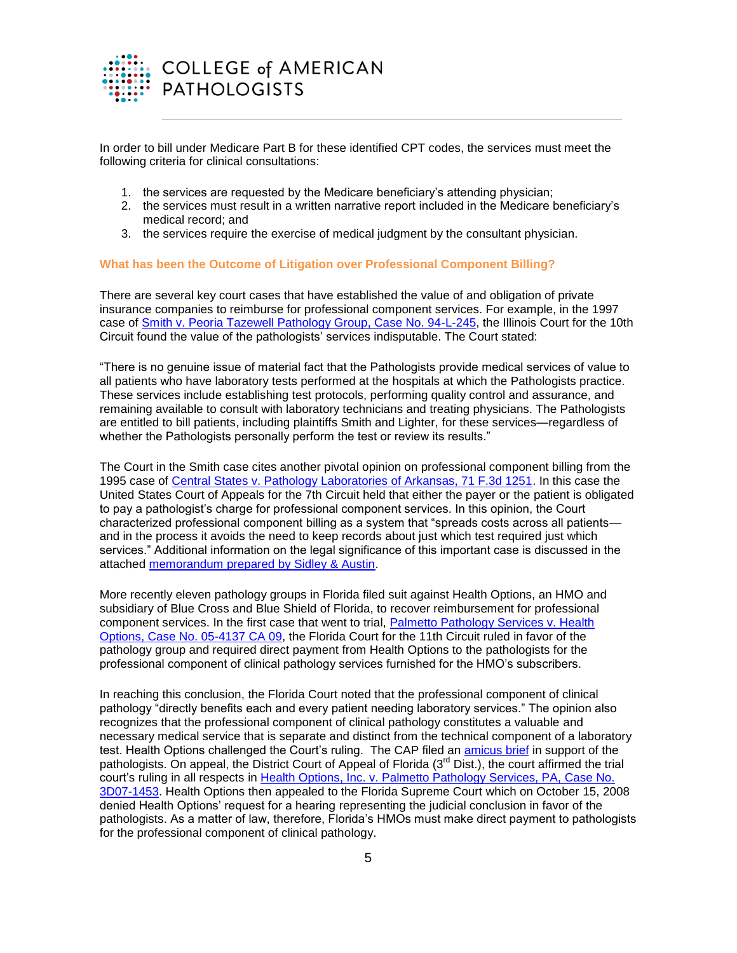<span id="page-4-0"></span>

In order to bill under Medicare Part B for these identified CPT codes, the services must meet the following criteria for clinical consultations:

- 1. the services are requested by the Medicare beneficiary's attending physician;
- 2. the services must result in a written narrative report included in the Medicare beneficiary's medical record; and
- 3. the services require the exercise of medical judgment by the consultant physician.

#### **What has been the Outcome of Litigation over Professional Component Billing?**

There are several key court cases that have established the value of and obligation of private insurance companies to reimburse for professional component services. For example, in the 1997 case of [Smith v. Peoria Tazewell Pathology Group, Case No. 94-L-245,](http://www.cap.org/apps/docs/advocacy/compliance/smith_vs_peoria_tazewell_pathology.pdf) the Illinois Court for the 10th Circuit found the value of the pathologists' services indisputable. The Court stated:

"There is no genuine issue of material fact that the Pathologists provide medical services of value to all patients who have laboratory tests performed at the hospitals at which the Pathologists practice. These services include establishing test protocols, performing quality control and assurance, and remaining available to consult with laboratory technicians and treating physicians. The Pathologists are entitled to bill patients, including plaintiffs Smith and Lighter, for these services—regardless of whether the Pathologists personally perform the test or review its results."

The Court in the Smith case cites another pivotal opinion on professional component billing from the 1995 case of [Central States v. Pathology Laboratories of Arkansas, 71 F.3d 1251.](http://www.cap.org/apps/docs/advocacy/compliance/central_states_vs_path_labs_of_arkansas.pdf) In this case the United States Court of Appeals for the 7th Circuit held that either the payer or the patient is obligated to pay a pathologist's charge for professional component services. In this opinion, the Court characterized professional component billing as a system that "spreads costs across all patients and in the process it avoids the need to keep records about just which test required just which services." Additional information on the legal significance of this important case is discussed in the attached [memorandum prepared by Sidley & Austin.](http://www.cap.org/apps/docs/advocacy/compliance/sidley_austin_memo.pdf)

More recently eleven pathology groups in Florida filed suit against Health Options, an HMO and subsidiary of Blue Cross and Blue Shield of Florida, to recover reimbursement for professional component services. In the first case that went to trial, [Palmetto Pathology Services v. Health](http://www.cap.org/apps/docs/advocacy/compliance/palmetto_vs_health_options_final_decision.pdf)  [Options, Case No. 05-4137 CA 09,](http://www.cap.org/apps/docs/advocacy/compliance/palmetto_vs_health_options_final_decision.pdf) the Florida Court for the 11th Circuit ruled in favor of the pathology group and required direct payment from Health Options to the pathologists for the professional component of clinical pathology services furnished for the HMO's subscribers.

In reaching this conclusion, the Florida Court noted that the professional component of clinical pathology "directly benefits each and every patient needing laboratory services." The opinion also recognizes that the professional component of clinical pathology constitutes a valuable and necessary medical service that is separate and distinct from the technical component of a laboratory test. Health Options challenged the Court's ruling. The CAP filed an [amicus brief](http://www.cap.org/apps/docs/advocacy/compliance/cap_health_options_vs_palmetto_pathology_brief.pdf) in support of the pathologists. On appeal, the District Court of Appeal of Florida (3<sup>rd</sup> Dist.), the court affirmed the trial court's ruling in all respects in [Health Options, Inc. v. Palmetto Pathology Services, PA, Case No.](http://www.allcourtdata.com/law/case/health-options-v-palmetto-pathology-servs/czaDfj7C)  [3D07-1453.](http://www.allcourtdata.com/law/case/health-options-v-palmetto-pathology-servs/czaDfj7C) Health Options then appealed to the Florida Supreme Court which on October 15, 2008 denied Health Options' request for a hearing representing the judicial conclusion in favor of the pathologists. As a matter of law, therefore, Florida's HMOs must make direct payment to pathologists for the professional component of clinical pathology.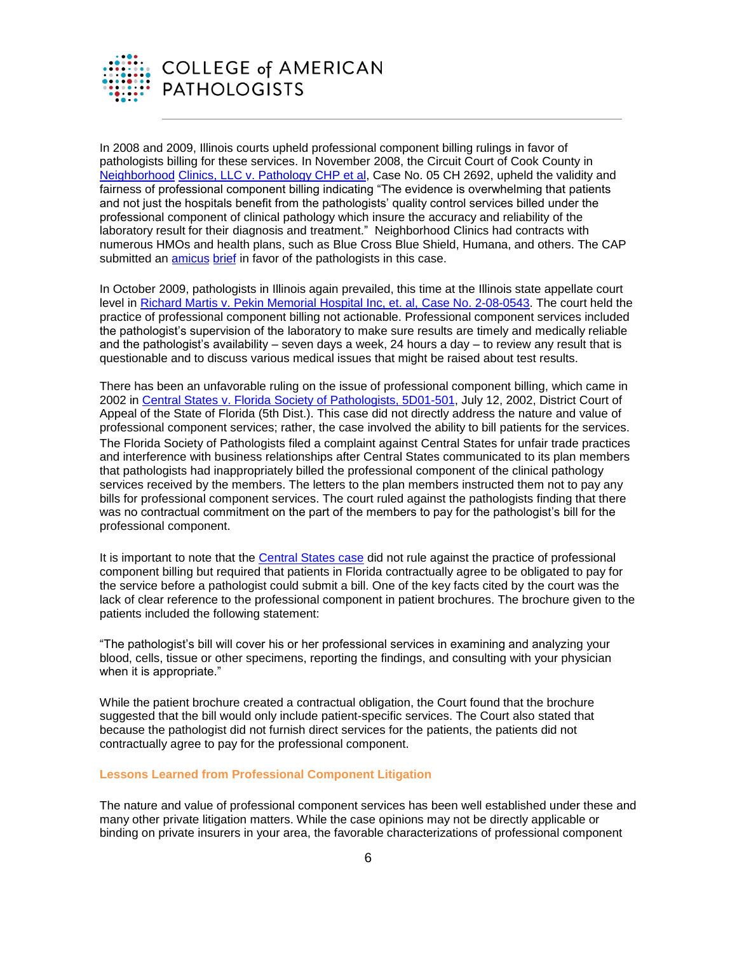<span id="page-5-0"></span>

In 2008 and 2009, Illinois courts upheld professional component billing rulings in favor of pathologists billing for these services. In November 2008, the Circuit Court of Cook County in Neighborhood [Clinics, LLC v. Pathology CHP et al, C](http://www.cap.org/ShowProperty?nodePath=/UCMCon/Contribution%20Folders/WebContent/pdf/neighborhood-clinics-2009.pdf)ase No. 05 CH 2692, upheld the validity and fairness of professional component billing indicating "The evidence is overwhelming that patients and not just the hospitals benefit from the pathologists' quality control services billed under the professional component of clinical pathology which insure the accuracy and reliability of the laboratory result for their diagnosis and treatment." Neighborhood Clinics had contracts with numerous HMOs and health plans, such as Blue Cross Blue Shield, Humana, and others. The CAP submitted an *[amicus](http://www.cap.org/ShowProperty?nodePath=/UCMCon/Contribution%20Folders/WebContent/pdf/neighborhood-clinics-amicus-brief-2008.pdf) brief* in favor of the pathologists in this case.

In October 2009, pathologists in Illinois again prevailed, this time at the Illinois state appellate court level in [Richard Martis v. Pekin Memorial Hospital Inc, et. al, Case No. 2-08-0543.](https://www.courtlistener.com/opinion/2026707/martis-v-pekin-memorial-hosp-inc/) The court held the practice of professional component billing not actionable. Professional component services included the pathologist's supervision of the laboratory to make sure results are timely and medically reliable and the pathologist's availability – seven days a week, 24 hours a day – to review any result that is questionable and to discuss various medical issues that might be raised about test results.

There has been an unfavorable ruling on the issue of professional component billing, which came in 2002 in [Central States v. Florida Society of Pathologists, 5D01-501,](http://www.cap.org/apps/docs/advocacy/compliance/central_states_vs_fsp.pdf) July 12, 2002, District Court of Appeal of the State of Florida (5th Dist.). This case did not directly address the nature and value of professional component services; rather, the case involved the ability to bill patients for the services. The Florida Society of Pathologists filed a complaint against Central States for unfair trade practices and interference with business relationships after Central States communicated to its plan members that pathologists had inappropriately billed the professional component of the clinical pathology services received by the members. The letters to the plan members instructed them not to pay any bills for professional component services. The court ruled against the pathologists finding that there was no contractual commitment on the part of the members to pay for the pathologist's bill for the professional component.

It is important to note that the [Central States case](http://www.cap.org/apps/docs/advocacy/compliance/central_states_vs_fsp.pdf) did not rule against the practice of professional component billing but required that patients in Florida contractually agree to be obligated to pay for the service before a pathologist could submit a bill. One of the key facts cited by the court was the lack of clear reference to the professional component in patient brochures. The brochure given to the patients included the following statement:

"The pathologist's bill will cover his or her professional services in examining and analyzing your blood, cells, tissue or other specimens, reporting the findings, and consulting with your physician when it is appropriate."

While the patient brochure created a contractual obligation, the Court found that the brochure suggested that the bill would only include patient-specific services. The Court also stated that because the pathologist did not furnish direct services for the patients, the patients did not contractually agree to pay for the professional component.

#### **Lessons Learned from Professional Component Litigation**

The nature and value of professional component services has been well established under these and many other private litigation matters. While the case opinions may not be directly applicable or binding on private insurers in your area, the favorable characterizations of professional component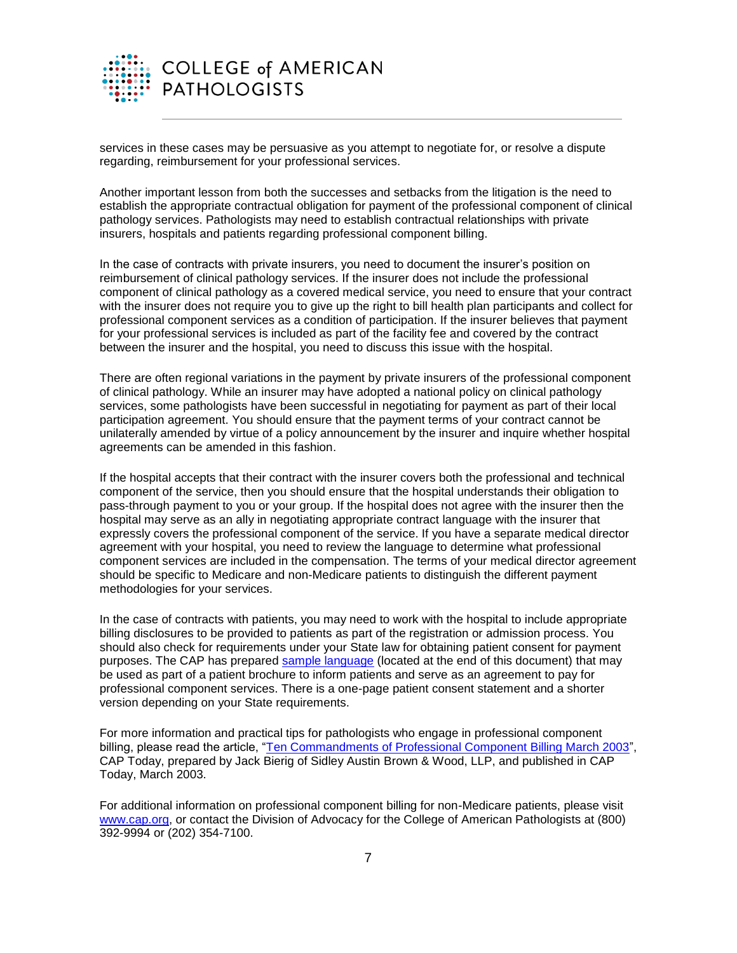

services in these cases may be persuasive as you attempt to negotiate for, or resolve a dispute regarding, reimbursement for your professional services.

Another important lesson from both the successes and setbacks from the litigation is the need to establish the appropriate contractual obligation for payment of the professional component of clinical pathology services. Pathologists may need to establish contractual relationships with private insurers, hospitals and patients regarding professional component billing.

In the case of contracts with private insurers, you need to document the insurer's position on reimbursement of clinical pathology services. If the insurer does not include the professional component of clinical pathology as a covered medical service, you need to ensure that your contract with the insurer does not require you to give up the right to bill health plan participants and collect for professional component services as a condition of participation. If the insurer believes that payment for your professional services is included as part of the facility fee and covered by the contract between the insurer and the hospital, you need to discuss this issue with the hospital.

There are often regional variations in the payment by private insurers of the professional component of clinical pathology. While an insurer may have adopted a national policy on clinical pathology services, some pathologists have been successful in negotiating for payment as part of their local participation agreement. You should ensure that the payment terms of your contract cannot be unilaterally amended by virtue of a policy announcement by the insurer and inquire whether hospital agreements can be amended in this fashion.

If the hospital accepts that their contract with the insurer covers both the professional and technical component of the service, then you should ensure that the hospital understands their obligation to pass-through payment to you or your group. If the hospital does not agree with the insurer then the hospital may serve as an ally in negotiating appropriate contract language with the insurer that expressly covers the professional component of the service. If you have a separate medical director agreement with your hospital, you need to review the language to determine what professional component services are included in the compensation. The terms of your medical director agreement should be specific to Medicare and non-Medicare patients to distinguish the different payment methodologies for your services.

In the case of contracts with patients, you may need to work with the hospital to include appropriate billing disclosures to be provided to patients as part of the registration or admission process. You should also check for requirements under your State law for obtaining patient consent for payment purposes. The CAP has prepared [sample language](http://www.cap.org/apps/docs/advocacy/compliance/sample_patient_agreements.doc) (located at the end of this document) that may be used as part of a patient brochure to inform patients and serve as an agreement to pay for professional component services. There is a one-page patient consent statement and a shorter version depending on your State requirements.

For more information and practical tips for pathologists who engage in professional component billing, please read the article, ["Ten Commandments of Professional Component Billing March 2003"](http://www.cap.org/apps/cap.portal?_nfpb=true&cntvwrPtlt_actionOverride=%2Fportlets%2FcontentViewer%2Fshow&_windowLabel=cntvwrPtlt&cntvwrPtlt%7BactionForm.contentReference%7D=cap_today%2Ffeature_stories%2Fcomponent_billing.html&_state=maximized&_pageLabel=cntvwr), CAP Today, prepared by Jack Bierig of Sidley Austin Brown & Wood, LLP, and published in CAP Today, March 2003.

For additional information on professional component billing for non-Medicare patients, please visit [www.cap.org,](http://www.cap.org/apps/cap.portal?_nfpb=true&_pageLabel=home) or contact the Division of Advocacy for the College of American Pathologists at (800) 392-9994 or (202) 354-7100.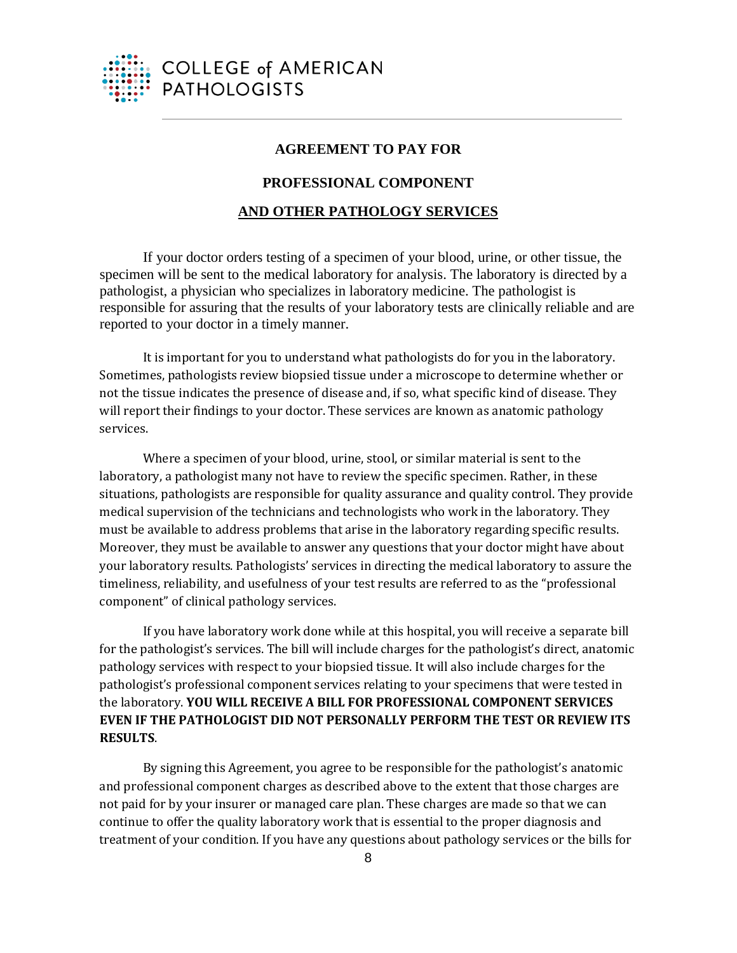

# **AGREEMENT TO PAY FOR**

# **PROFESSIONAL COMPONENT**

# **AND OTHER PATHOLOGY SERVICES**

If your doctor orders testing of a specimen of your blood, urine, or other tissue, the specimen will be sent to the medical laboratory for analysis. The laboratory is directed by a pathologist, a physician who specializes in laboratory medicine. The pathologist is responsible for assuring that the results of your laboratory tests are clinically reliable and are reported to your doctor in a timely manner.

It is important for you to understand what pathologists do for you in the laboratory. Sometimes, pathologists review biopsied tissue under a microscope to determine whether or not the tissue indicates the presence of disease and, if so, what specific kind of disease. They will report their findings to your doctor. These services are known as anatomic pathology services.

Where a specimen of your blood, urine, stool, or similar material is sent to the laboratory, a pathologist many not have to review the specific specimen. Rather, in these situations, pathologists are responsible for quality assurance and quality control. They provide medical supervision of the technicians and technologists who work in the laboratory. They must be available to address problems that arise in the laboratory regarding specific results. Moreover, they must be available to answer any questions that your doctor might have about your laboratory results. Pathologists' services in directing the medical laboratory to assure the timeliness, reliability, and usefulness of your test results are referred to as the "professional component" of clinical pathology services.

If you have laboratory work done while at this hospital, you will receive a separate bill for the pathologist's services. The bill will include charges for the pathologist's direct, anatomic pathology services with respect to your biopsied tissue. It will also include charges for the pathologist's professional component services relating to your specimens that were tested in the laboratory. **YOU WILL RECEIVE A BILL FOR PROFESSIONAL COMPONENT SERVICES EVEN IF THE PATHOLOGIST DID NOT PERSONALLY PERFORM THE TEST OR REVIEW ITS RESULTS**.

By signing this Agreement, you agree to be responsible for the pathologist's anatomic and professional component charges as described above to the extent that those charges are not paid for by your insurer or managed care plan. These charges are made so that we can continue to offer the quality laboratory work that is essential to the proper diagnosis and treatment of your condition. If you have any questions about pathology services or the bills for